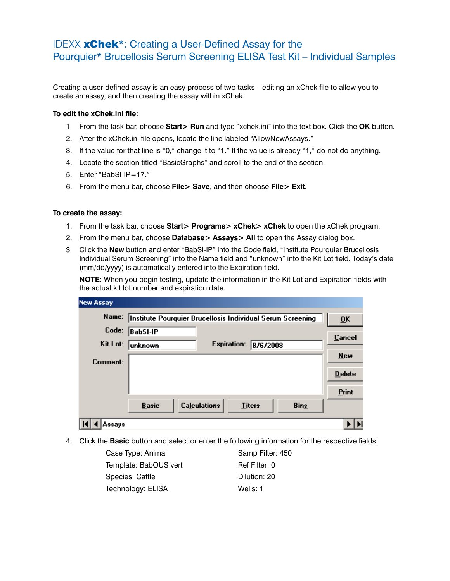## IDEXX xChek\*: Creating a User-Defined Assay for the Pourquier\* Brucellosis Serum Screening ELISA Test Kit – Individual Samples

Creating a user-defined assay is an easy process of two tasks—editing an xChek file to allow you to create an assay, and then creating the assay within xChek.

## **To edit the xChek.ini file:**

- 1. From the task bar, choose **Start> Run** and type "xchek.ini" into the text box. Click the **OK** button.
- 2. After the xChek.ini file opens, locate the line labeled "AllowNewAssays."
- 3. If the value for that line is "0," change it to "1." If the value is already "1," do not do anything.
- 4. Locate the section titled "BasicGraphs" and scroll to the end of the section.
- 5. Enter "BabSI-IP=17."
- 6. From the menu bar, choose **File> Save**, and then choose **File> Exit**.

## **To create the assay:**

- 1. From the task bar, choose **Start> Programs> xChek> xChek** to open the xChek program.
- 2. From the menu bar, choose **Database> Assays> All** to open the Assay dialog box.
- 3. Click the **New** button and enter "BabSI-IP" into the Code field, "Institute Pourquier Brucellosis Individual Serum Screening" into the Name field and "unknown" into the Kit Lot field. Today's date (mm/dd/yyyy) is automatically entered into the Expiration field.

**NOTE:** When you begin testing, update the information in the Kit Lot and Expiration fields with the actual kit lot number and expiration date.

| <b>New Assay</b> |                                                            |                           |               |             |               |
|------------------|------------------------------------------------------------|---------------------------|---------------|-------------|---------------|
| Name:            | Institute Pourquier Brucellosis Individual Serum Screening | $\overline{\mathbf{0}}$ K |               |             |               |
| Code:            | BabSI-IP                                                   |                           |               |             | Cancel        |
| Kit Lot:         | unknown                                                    | <b>Expiration:</b>        | 8/6/2008      |             |               |
|                  |                                                            |                           |               |             | <b>New</b>    |
| Comment:         |                                                            |                           |               |             |               |
|                  |                                                            |                           |               |             | <b>Delete</b> |
|                  |                                                            |                           |               |             | Print         |
|                  | <b>Basic</b>                                               | <b>Calculations</b>       | <b>Titers</b> | <b>Bins</b> |               |
| Assays           |                                                            |                           |               |             |               |

4. Click the **Basic** button and select or enter the following information for the respective fields:

| Case Type: Animal     | Samp Filter: 450 |
|-----------------------|------------------|
| Template: BabOUS vert | Ref Filter: 0    |
| Species: Cattle       | Dilution: 20     |
| Technology: ELISA     | Wells: 1         |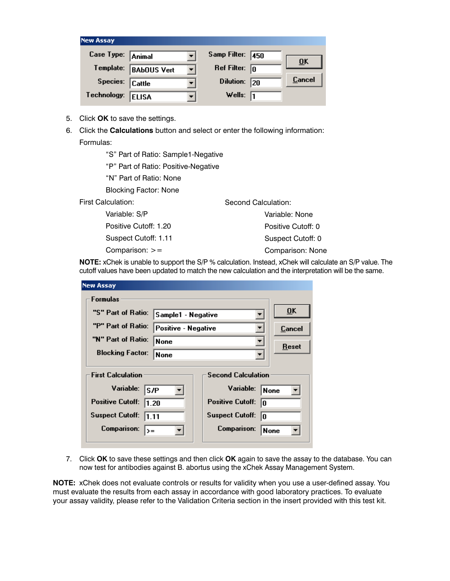| <b>New Assay</b>  |                    |                          |                         |     |                           |
|-------------------|--------------------|--------------------------|-------------------------|-----|---------------------------|
| Case Type: Animal |                    |                          | Samp Filter:            | 450 |                           |
| Template:         | <b>BAbOUS Vert</b> | $\overline{\phantom{a}}$ | Ref Filter: $\boxed{0}$ |     | $\overline{\mathbf{0}}$ K |
| Species: Cattle   |                    |                          | <b>Dilution:</b>        | 20  | <u>Cancel</u>             |
| Technology:       | <b>ELISA</b>       |                          | Wells: $\sqrt{1}$       |     |                           |

- 5. Click **OK** to save the settings.
- 6. Click the **Calculations** button and select or enter the following information: Formulas:

"S" Part of Ratio: Sample1-Negative

"P" Part of Ratio: Positive-Negative

"N" Part of Ratio: None

Blocking Factor: None

First Calculation:

 Variable: S/P Positive Cutoff: 1.20 Suspect Cutoff: 1.11 Comparison: >= Variable: None Positive Cutoff: 0 Suspect Cutoff: 0 Comparison: None

**NOTE:** xChek is unable to support the S/P % calculation. Instead, xChek will calculate an S/P value. The cutoff values have been updated to match the new calculation and the interpretation will be the same.

Second Calculation:

|  | <b>New Assay</b>                                                        |                    |                               |                           |
|--|-------------------------------------------------------------------------|--------------------|-------------------------------|---------------------------|
|  | Formulas                                                                |                    |                               |                           |
|  | "S" Part of Ratio:                                                      | Sample1 - Negative |                               | $\overline{\mathbf{0}}$ K |
|  | "P" Part of Ratio:<br>Positive - Negative<br>"N" Part of Ratio:<br>None |                    |                               | Cancel                    |
|  |                                                                         |                    |                               | Reset                     |
|  | <b>Blocking Factor:</b>                                                 | None               |                               |                           |
|  | <b>First Calculation</b>                                                |                    | <b>Second Calculation</b>     |                           |
|  | Variable:                                                               | S/P                | Variable:                     | None                      |
|  | <b>Positive Cutoff:</b><br>1.20                                         |                    | <b>Positive Cutoff:</b><br>l۵ |                           |
|  | <b>Suspect Cutoff:</b><br>1.11                                          |                    | <b>Suspect Cutoff:</b><br>ln. |                           |
|  | Comparison:<br>$>=$                                                     |                    | <b>Comparison:</b>            | None                      |
|  |                                                                         |                    |                               |                           |

7. Click **OK** to save these settings and then click **OK** again to save the assay to the database. You can now test for antibodies against B. abortus using the xChek Assay Management System.

**NOTE:** xChek does not evaluate controls or results for validity when you use a user-defined assay. You must evaluate the results from each assay in accordance with good laboratory practices. To evaluate your assay validity, please refer to the Validation Criteria section in the insert provided with this test kit.